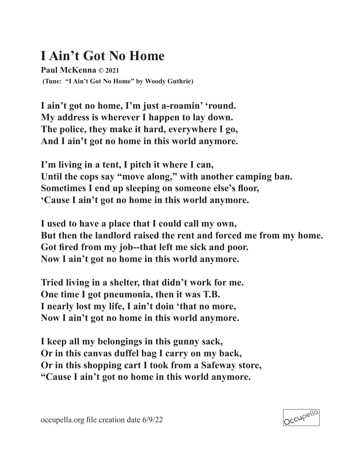## **I Ain't Got No Home**

**Paul McKenna © 2021 (Tune: "I Ain't Got No Home" by Woody Guthrie)**

**I ain't got no home, I'm just a-roamin' 'round. My address is wherever I happen to lay down. The police, they make it hard, everywhere I go, And I ain't got no home in this world anymore.**

**I'm living in a tent, I pitch it where I can, Until the cops say "move along," with another camping ban. Sometimes I end up sleeping on someone else's floor, 'Cause I ain't got no home in this world anymore.**

**I used to have a place that I could call my own, But then the landlord raised the rent and forced me from my home. Got fired from my job--that left me sick and poor. Now I ain't got no home in this world anymore.**

**Tried living in a shelter, that didn't work for me. One time I got pneumonia, then it was T.B. I nearly lost my life, I ain't doin 'that no more, Now I ain't got no home in this world anymore.**

**I keep all my belongings in this gunny sack, Or in this canvas duffel bag I carry on my back, Or in this shopping cart I took from a Safeway store, "Cause I ain't got no home in this world anymore.**